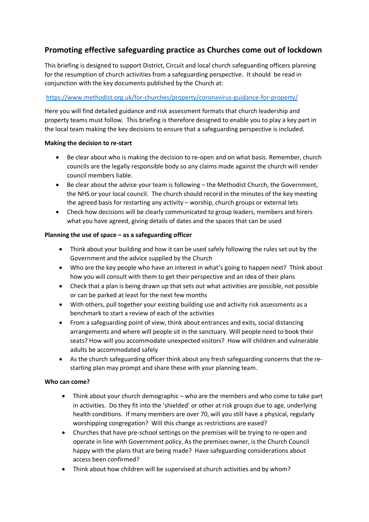# **Promoting effective safeguarding practice as Churches come out of lockdown**

This briefing is designed to support District, Circuit and local church safeguarding officers planning for the resumption of church activities from a safeguarding perspective. It should be read in conjunction with the key documents published by the Church at:

## https://www.methodist.org.uk/for-churches/property/coronavirus-guidance-for-property/

Here you will find detailed guidance and risk assessment formats that church leadership and property teams must follow. This briefing is therefore designed to enable you to play a key part in the local team making the key decisions to ensure that a safeguarding perspective is included.

## **Making the decision to re-start**

- Be clear about who is making the decision to re-open and on what basis. Remember, church councils are the legally responsible body so any claims made against the church will render council members liable.
- Be clear about the advice your team is following the Methodist Church, the Government, the NHS or your local council. The church should record in the minutes of the key meeting the agreed basis for restarting any activity – worship, church groups or external lets
- Check how decisions will be clearly communicated to group leaders, members and hirers what you have agreed, giving details of dates and the spaces that can be used

## **Planning the use of space – as a safeguarding officer**

- Think about your building and how it can be used safely following the rules set out by the Government and the advice supplied by the Church
- Who are the key people who have an interest in what's going to happen next? Think about how you will consult with them to get their perspective and an idea of their plans
- Check that a plan is being drawn up that sets out what activities are possible, not possible or can be parked at least for the next few months
- With others, pull together your existing building use and activity risk assessments as a benchmark to start a review of each of the activities
- From a safeguarding point of view, think about entrances and exits, social distancing arrangements and where will people sit in the sanctuary. Will people need to book their seats? How will you accommodate unexpected visitors? How will children and vulnerable adults be accommodated safely
- As the church safeguarding officer think about any fresh safeguarding concerns that the restarting plan may prompt and share these with your planning team.

## **Who can come?**

- Think about your church demographic who are the members and who come to take part in activities. Do they fit into the 'shielded' or other at risk groups due to age, underlying health conditions. If many members are over 70, will you still have a physical, regularly worshipping congregation? Will this change as restrictions are eased?
- Churches that have pre-school settings on the premises will be trying to re-open and operate in line with Government policy. As the premises owner, is the Church Council happy with the plans that are being made? Have safeguarding considerations about access been confirmed?
- Think about how children will be supervised at church activities and by whom?